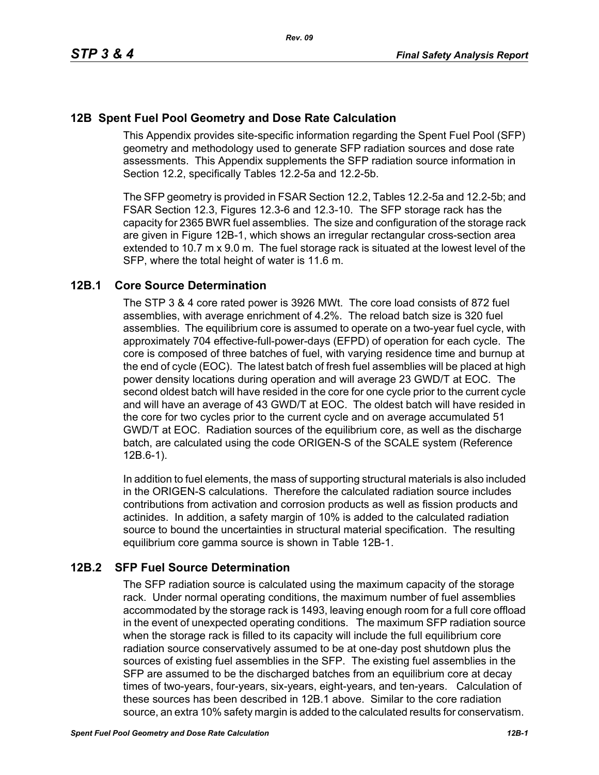# **12B Spent Fuel Pool Geometry and Dose Rate Calculation**

This Appendix provides site-specific information regarding the Spent Fuel Pool (SFP) geometry and methodology used to generate SFP radiation sources and dose rate assessments. This Appendix supplements the SFP radiation source information in Section 12.2, specifically Tables 12.2-5a and 12.2-5b.

The SFP geometry is provided in FSAR Section 12.2, Tables 12.2-5a and 12.2-5b; and FSAR Section 12.3, Figures 12.3-6 and 12.3-10. The SFP storage rack has the capacity for 2365 BWR fuel assemblies. The size and configuration of the storage rack are given in Figure 12B-1, which shows an irregular rectangular cross-section area extended to 10.7 m x 9.0 m. The fuel storage rack is situated at the lowest level of the SFP, where the total height of water is 11.6 m.

## **12B.1 Core Source Determination**

The STP 3 & 4 core rated power is 3926 MWt. The core load consists of 872 fuel assemblies, with average enrichment of 4.2%. The reload batch size is 320 fuel assemblies. The equilibrium core is assumed to operate on a two-year fuel cycle, with approximately 704 effective-full-power-days (EFPD) of operation for each cycle. The core is composed of three batches of fuel, with varying residence time and burnup at the end of cycle (EOC). The latest batch of fresh fuel assemblies will be placed at high power density locations during operation and will average 23 GWD/T at EOC. The second oldest batch will have resided in the core for one cycle prior to the current cycle and will have an average of 43 GWD/T at EOC. The oldest batch will have resided in the core for two cycles prior to the current cycle and on average accumulated 51 GWD/T at EOC. Radiation sources of the equilibrium core, as well as the discharge batch, are calculated using the code ORIGEN-S of the SCALE system (Reference 12B.6-1).

In addition to fuel elements, the mass of supporting structural materials is also included in the ORIGEN-S calculations. Therefore the calculated radiation source includes contributions from activation and corrosion products as well as fission products and actinides. In addition, a safety margin of 10% is added to the calculated radiation source to bound the uncertainties in structural material specification. The resulting equilibrium core gamma source is shown in Table 12B-1.

## **12B.2 SFP Fuel Source Determination**

The SFP radiation source is calculated using the maximum capacity of the storage rack. Under normal operating conditions, the maximum number of fuel assemblies accommodated by the storage rack is 1493, leaving enough room for a full core offload in the event of unexpected operating conditions. The maximum SFP radiation source when the storage rack is filled to its capacity will include the full equilibrium core radiation source conservatively assumed to be at one-day post shutdown plus the sources of existing fuel assemblies in the SFP. The existing fuel assemblies in the SFP are assumed to be the discharged batches from an equilibrium core at decay times of two-years, four-years, six-years, eight-years, and ten-years. Calculation of these sources has been described in 12B.1 above. Similar to the core radiation source, an extra 10% safety margin is added to the calculated results for conservatism.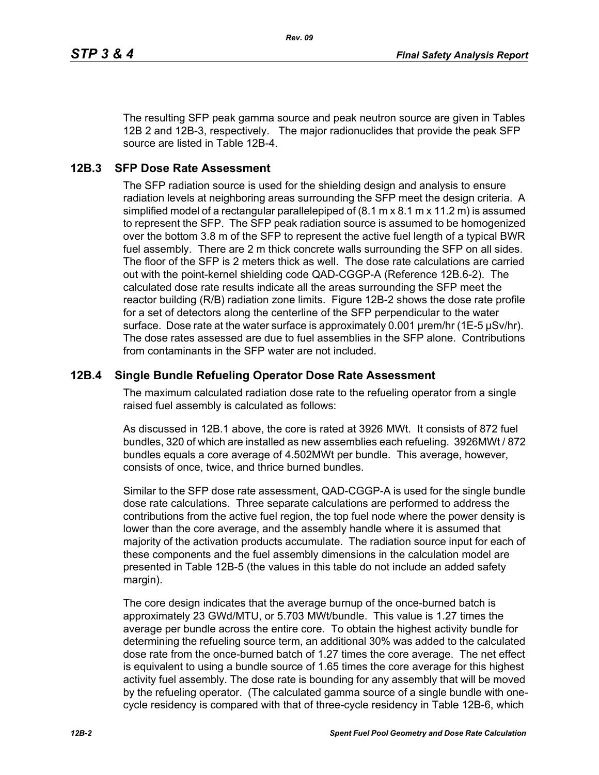*Rev. 09*

The resulting SFP peak gamma source and peak neutron source are given in Tables 12B 2 and 12B-3, respectively. The major radionuclides that provide the peak SFP source are listed in Table 12B-4.

#### **12B.3 SFP Dose Rate Assessment**

The SFP radiation source is used for the shielding design and analysis to ensure radiation levels at neighboring areas surrounding the SFP meet the design criteria. A simplified model of a rectangular parallelepiped of (8.1 m x 8.1 m x 11.2 m) is assumed to represent the SFP. The SFP peak radiation source is assumed to be homogenized over the bottom 3.8 m of the SFP to represent the active fuel length of a typical BWR fuel assembly. There are 2 m thick concrete walls surrounding the SFP on all sides. The floor of the SFP is 2 meters thick as well. The dose rate calculations are carried out with the point-kernel shielding code QAD-CGGP-A (Reference 12B.6-2). The calculated dose rate results indicate all the areas surrounding the SFP meet the reactor building (R/B) radiation zone limits. Figure 12B-2 shows the dose rate profile for a set of detectors along the centerline of the SFP perpendicular to the water surface. Dose rate at the water surface is approximately 0.001 µrem/hr (1E-5 µSv/hr). The dose rates assessed are due to fuel assemblies in the SFP alone. Contributions from contaminants in the SFP water are not included.

#### **12B.4 Single Bundle Refueling Operator Dose Rate Assessment**

The maximum calculated radiation dose rate to the refueling operator from a single raised fuel assembly is calculated as follows:

As discussed in 12B.1 above, the core is rated at 3926 MWt. It consists of 872 fuel bundles, 320 of which are installed as new assemblies each refueling. 3926MWt / 872 bundles equals a core average of 4.502MWt per bundle. This average, however, consists of once, twice, and thrice burned bundles.

Similar to the SFP dose rate assessment, QAD-CGGP-A is used for the single bundle dose rate calculations. Three separate calculations are performed to address the contributions from the active fuel region, the top fuel node where the power density is lower than the core average, and the assembly handle where it is assumed that majority of the activation products accumulate. The radiation source input for each of these components and the fuel assembly dimensions in the calculation model are presented in Table 12B-5 (the values in this table do not include an added safety margin).

The core design indicates that the average burnup of the once-burned batch is approximately 23 GWd/MTU, or 5.703 MWt/bundle. This value is 1.27 times the average per bundle across the entire core. To obtain the highest activity bundle for determining the refueling source term, an additional 30% was added to the calculated dose rate from the once-burned batch of 1.27 times the core average. The net effect is equivalent to using a bundle source of 1.65 times the core average for this highest activity fuel assembly. The dose rate is bounding for any assembly that will be moved by the refueling operator. (The calculated gamma source of a single bundle with onecycle residency is compared with that of three-cycle residency in Table 12B-6, which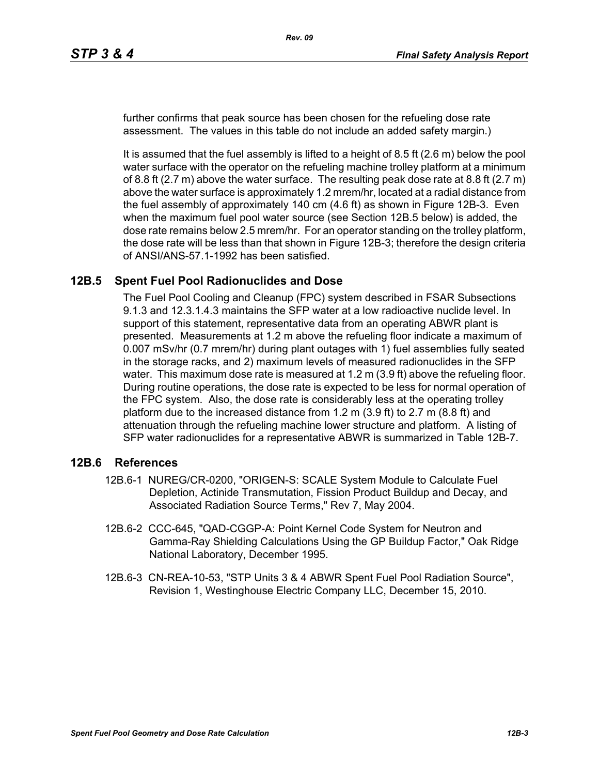further confirms that peak source has been chosen for the refueling dose rate assessment. The values in this table do not include an added safety margin.)

It is assumed that the fuel assembly is lifted to a height of 8.5 ft (2.6 m) below the pool water surface with the operator on the refueling machine trolley platform at a minimum of 8.8 ft  $(2.7 \text{ m})$  above the water surface. The resulting peak dose rate at 8.8 ft  $(2.7 \text{ m})$ above the water surface is approximately 1.2 mrem/hr, located at a radial distance from the fuel assembly of approximately 140 cm (4.6 ft) as shown in Figure 12B-3. Even when the maximum fuel pool water source (see Section 12B.5 below) is added, the dose rate remains below 2.5 mrem/hr. For an operator standing on the trolley platform, the dose rate will be less than that shown in Figure 12B-3; therefore the design criteria of ANSI/ANS-57.1-1992 has been satisfied.

#### **12B.5 Spent Fuel Pool Radionuclides and Dose**

The Fuel Pool Cooling and Cleanup (FPC) system described in FSAR Subsections 9.1.3 and 12.3.1.4.3 maintains the SFP water at a low radioactive nuclide level. In support of this statement, representative data from an operating ABWR plant is presented. Measurements at 1.2 m above the refueling floor indicate a maximum of 0.007 mSv/hr (0.7 mrem/hr) during plant outages with 1) fuel assemblies fully seated in the storage racks, and 2) maximum levels of measured radionuclides in the SFP water. This maximum dose rate is measured at 1.2 m (3.9 ft) above the refueling floor. During routine operations, the dose rate is expected to be less for normal operation of the FPC system. Also, the dose rate is considerably less at the operating trolley platform due to the increased distance from 1.2 m (3.9 ft) to 2.7 m (8.8 ft) and attenuation through the refueling machine lower structure and platform. A listing of SFP water radionuclides for a representative ABWR is summarized in Table 12B-7.

#### **12B.6 References**

- 12B.6-1 NUREG/CR-0200, "ORIGEN-S: SCALE System Module to Calculate Fuel Depletion, Actinide Transmutation, Fission Product Buildup and Decay, and Associated Radiation Source Terms," Rev 7, May 2004.
- 12B.6-2 CCC-645, "QAD-CGGP-A: Point Kernel Code System for Neutron and Gamma-Ray Shielding Calculations Using the GP Buildup Factor," Oak Ridge National Laboratory, December 1995.
- 12B.6-3 CN-REA-10-53, "STP Units 3 & 4 ABWR Spent Fuel Pool Radiation Source", Revision 1, Westinghouse Electric Company LLC, December 15, 2010.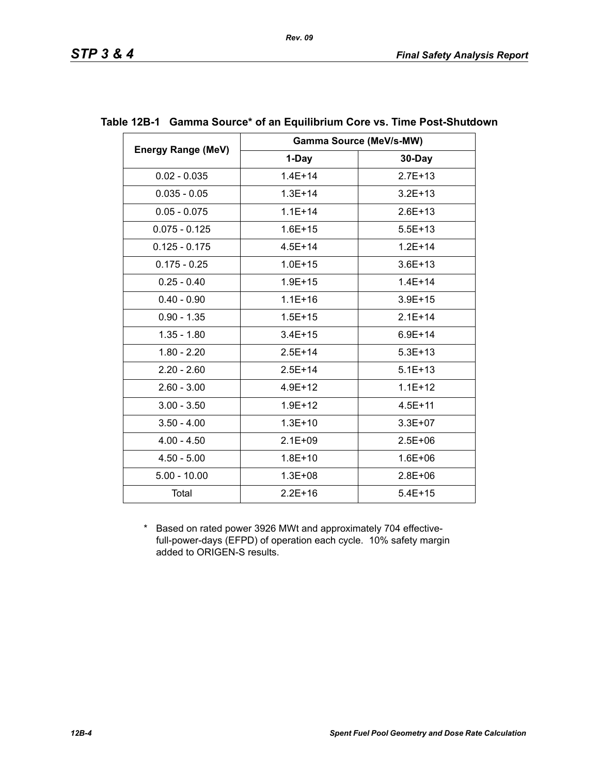|                           |             | <b>Gamma Source (MeV/s-MW)</b> |
|---------------------------|-------------|--------------------------------|
| <b>Energy Range (MeV)</b> | 1-Day       | 30-Day                         |
| $0.02 - 0.035$            | $1.4E + 14$ | $2.7E + 13$                    |
| $0.035 - 0.05$            | $1.3E + 14$ | $3.2E + 13$                    |
| $0.05 - 0.075$            | $1.1E + 14$ | $2.6E + 13$                    |
| $0.075 - 0.125$           | $1.6E + 15$ | $5.5E + 13$                    |
| $0.125 - 0.175$           | $4.5E + 14$ | $1.2E + 14$                    |
| $0.175 - 0.25$            | $1.0E + 15$ | $3.6E + 13$                    |
| $0.25 - 0.40$             | $1.9E + 15$ | $1.4E + 14$                    |
| $0.40 - 0.90$             | $1.1E + 16$ | $3.9E + 15$                    |
| $0.90 - 1.35$             | $1.5E + 15$ | $2.1E + 14$                    |
| $1.35 - 1.80$             | $3.4E + 15$ | $6.9E + 14$                    |
| $1.80 - 2.20$             | $2.5E + 14$ | $5.3E + 13$                    |
| $2.20 - 2.60$             | $2.5E+14$   | $5.1E + 13$                    |
| $2.60 - 3.00$             | $4.9E + 12$ | $1.1E + 12$                    |
| $3.00 - 3.50$             | $1.9E + 12$ | $4.5E + 11$                    |
| $3.50 - 4.00$             | $1.3E + 10$ | $3.3E + 07$                    |
| $4.00 - 4.50$             | $2.1E + 09$ | $2.5E + 06$                    |
| $4.50 - 5.00$             | $1.8E + 10$ | $1.6E + 06$                    |
| $5.00 - 10.00$            | $1.3E + 08$ | $2.8E + 06$                    |
| Total                     | $2.2E + 16$ | $5.4E + 15$                    |

#### **Table 12B-1 Gamma Source\* of an Equilibrium Core vs. Time Post-Shutdown**

*Rev. 09*

\* Based on rated power 3926 MWt and approximately 704 effectivefull-power-days (EFPD) of operation each cycle. 10% safety margin added to ORIGEN-S results.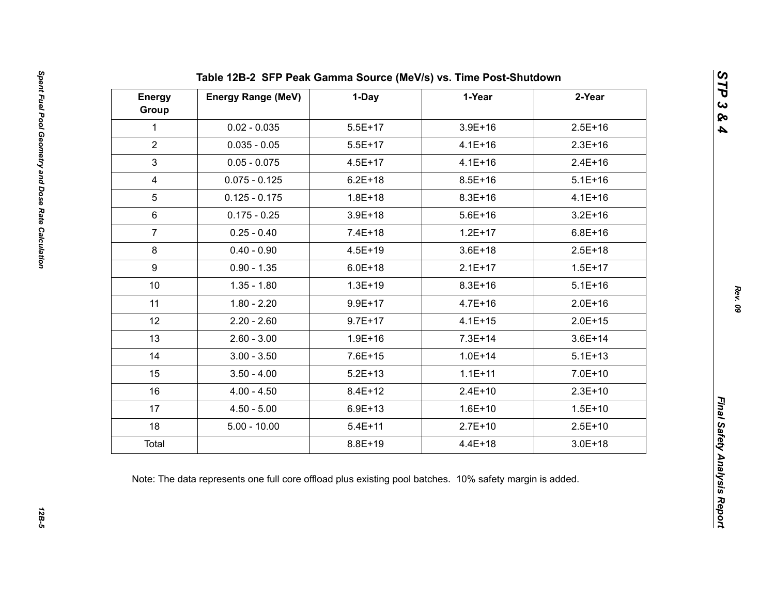| <b>Energy</b><br>Group | <b>Energy Range (MeV)</b> | 1-Day       | 1-Year      | 2-Year      |
|------------------------|---------------------------|-------------|-------------|-------------|
| $\mathbf{1}$           | $0.02 - 0.035$            | $5.5E+17$   | $3.9E + 16$ | $2.5E+16$   |
| $\overline{2}$         | $0.035 - 0.05$            | $5.5E+17$   | $4.1E + 16$ | $2.3E+16$   |
| $\mathfrak{S}$         | $0.05 - 0.075$            | $4.5E + 17$ | $4.1E + 16$ | $2.4E + 16$ |
| $\overline{4}$         | $0.075 - 0.125$           | $6.2E + 18$ | $8.5E + 16$ | $5.1E + 16$ |
| 5                      | $0.125 - 0.175$           | $1.8E + 18$ | $8.3E + 16$ | $4.1E + 16$ |
| $6\phantom{1}$         | $0.175 - 0.25$            | $3.9E + 18$ | $5.6E + 16$ | $3.2E + 16$ |
| $\overline{7}$         | $0.25 - 0.40$             | $7.4E + 18$ | $1.2E + 17$ | $6.8E + 16$ |
| 8                      | $0.40 - 0.90$             | $4.5E + 19$ | $3.6E + 18$ | $2.5E + 18$ |
| 9                      | $0.90 - 1.35$             | $6.0E + 18$ | $2.1E+17$   | $1.5E + 17$ |
| 10 <sup>°</sup>        | $1.35 - 1.80$             | $1.3E + 19$ | $8.3E + 16$ | $5.1E + 16$ |
| 11                     | $1.80 - 2.20$             | $9.9E + 17$ | $4.7E + 16$ | $2.0E + 16$ |
| 12                     | $2.20 - 2.60$             | $9.7E + 17$ | $4.1E + 15$ | $2.0E + 15$ |
| 13                     | $2.60 - 3.00$             | $1.9E + 16$ | $7.3E + 14$ | $3.6E + 14$ |
| 14                     | $3.00 - 3.50$             | $7.6E + 15$ | $1.0E + 14$ | $5.1E + 13$ |
| 15                     | $3.50 - 4.00$             | $5.2E + 13$ | $1.1E + 11$ | $7.0E + 10$ |
| 16                     | $4.00 - 4.50$             | $8.4E + 12$ | $2.4E+10$   | $2.3E+10$   |
| 17                     | $4.50 - 5.00$             | $6.9E + 13$ | $1.6E + 10$ | $1.5E + 10$ |
| 18                     | $5.00 - 10.00$            | $5.4E + 11$ | $2.7E+10$   | $2.5E+10$   |
| Total                  |                           | $8.8E + 19$ | $4.4E + 18$ | $3.0E + 18$ |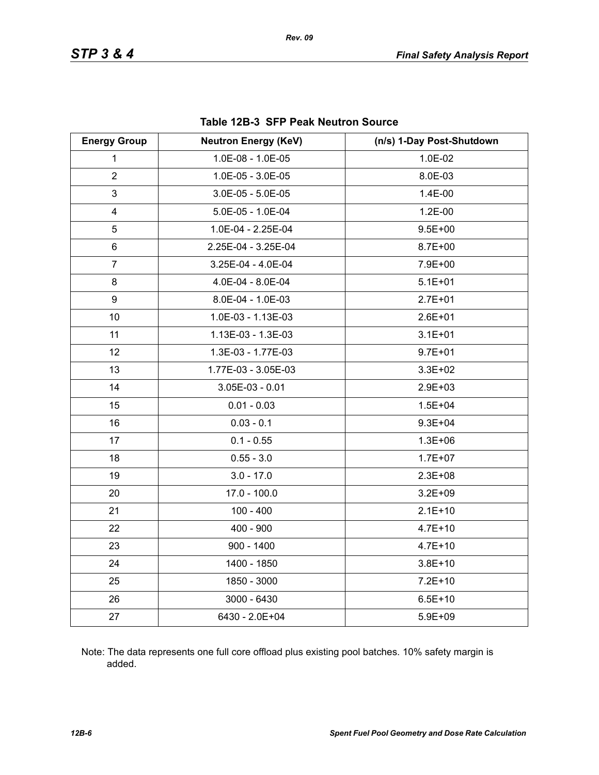| <b>Energy Group</b>     | <b>Neutron Energy (KeV)</b> | (n/s) 1-Day Post-Shutdown |
|-------------------------|-----------------------------|---------------------------|
| 1                       | 1.0E-08 - 1.0E-05           | 1.0E-02                   |
| $\overline{2}$          | 1.0E-05 - 3.0E-05           | 8.0E-03                   |
| 3                       | $3.0E-05 - 5.0E-05$         | 1.4E-00                   |
| $\overline{\mathbf{4}}$ | 5.0E-05 - 1.0E-04           | $1.2E - 00$               |
| 5                       | 1.0E-04 - 2.25E-04          | $9.5E + 00$               |
| 6                       | 2.25E-04 - 3.25E-04         | $8.7E + 00$               |
| $\overline{7}$          | 3.25E-04 - 4.0E-04          | 7.9E+00                   |
| 8                       | 4.0E-04 - 8.0E-04           | $5.1E + 01$               |
| 9                       | 8.0E-04 - 1.0E-03           | $2.7E + 01$               |
| 10                      | 1.0E-03 - 1.13E-03          | $2.6E + 01$               |
| 11                      | 1.13E-03 - 1.3E-03          | $3.1E + 01$               |
| 12                      | 1.3E-03 - 1.77E-03          | $9.7E + 01$               |
| 13                      | 1.77E-03 - 3.05E-03         | $3.3E + 02$               |
| 14                      | $3.05E-03 - 0.01$           | $2.9E + 03$               |
| 15                      | $0.01 - 0.03$               | $1.5E + 04$               |
| 16                      | $0.03 - 0.1$                | $9.3E + 04$               |
| 17                      | $0.1 - 0.55$                | $1.3E + 06$               |
| 18                      | $0.55 - 3.0$                | $1.7E + 07$               |
| 19                      | $3.0 - 17.0$                | $2.3E + 08$               |
| 20                      | $17.0 - 100.0$              | $3.2E + 09$               |
| 21                      | $100 - 400$                 | $2.1E+10$                 |
| 22                      | $400 - 900$                 | $4.7E + 10$               |
| 23                      | $900 - 1400$                | $4.7E + 10$               |
| 24                      | 1400 - 1850                 | $3.8E + 10$               |
| 25                      | 1850 - 3000                 | $7.2E + 10$               |
| 26                      | $3000 - 6430$               | $6.5E + 10$               |
| 27                      | 6430 - 2.0E+04              | $5.9E + 09$               |

#### **Table 12B-3 SFP Peak Neutron Source**

Note: The data represents one full core offload plus existing pool batches. 10% safety margin is added.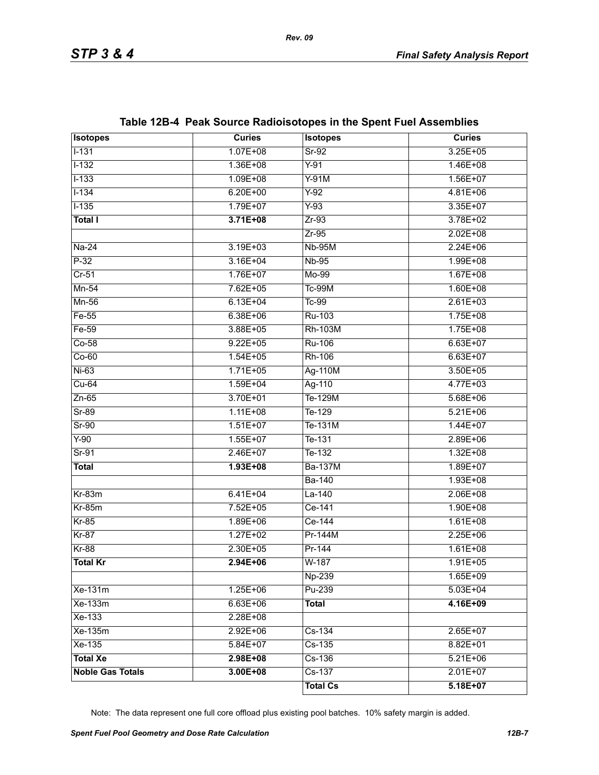| <b>Isotopes</b>         | <b>Curies</b> | <b>Isotopes</b> | <b>Curies</b> |
|-------------------------|---------------|-----------------|---------------|
| $1 - 131$               | $1.07E + 08$  | $Sr-92$         | $3.25E + 05$  |
| $1 - 132$               | 1.36E+08      | $Y-91$          | $1.46E + 08$  |
| $1 - 133$               | $1.09E + 08$  | $Y-91M$         | $1.56E+07$    |
| $1 - 134$               | $6.20E + 00$  | $Y-92$          | $4.81E + 06$  |
| $1 - 135$               | $1.79E+07$    | $Y-93$          | $3.35E + 07$  |
| <b>Total I</b>          | $3.71E + 08$  | $Zr-93$         | 3.78E+02      |
|                         |               | $Zr-95$         | $2.02E + 08$  |
| $Na-24$                 | $3.19E + 03$  | <b>Nb-95M</b>   | $2.24E + 06$  |
| $P-32$                  | $3.16E + 04$  | <b>Nb-95</b>    | $1.99E + 08$  |
| $Cr-51$                 | 1.76E+07      | $Mo-99$         | $1.67E + 08$  |
| $Mn-54$                 | $7.62E + 05$  | <b>Tc-99M</b>   | $1.60E + 08$  |
| $Mn-56$                 | $6.13E + 04$  | $Tc-99$         | $2.61E + 03$  |
| $Fe-55$                 | $6.38E + 06$  | Ru-103          | $1.75E + 08$  |
| $Fe-59$                 | 3.88E+05      | <b>Rh-103M</b>  | $1.75E + 08$  |
| $Co-58$                 | $9.22E + 05$  | <b>Ru-106</b>   | $6.63E + 07$  |
| $Co-60$                 | $1.54E + 05$  | Rh-106          | $6.63E + 07$  |
| $Ni-63$                 | $1.71E + 05$  | Ag-110M         | $3.50E + 05$  |
| $Cu-64$                 | $1.59E + 04$  | Ag-110          | $4.77E + 03$  |
| $Zn-65$                 | 3.70E+01      | Te-129M         | $5.68E + 06$  |
| $Sr-89$                 | $1.11E + 08$  | Te-129          | $5.21E + 06$  |
| $Sr-90$                 | $1.51E+07$    | Te-131M         | $1.44E + 07$  |
| $Y-90$                  | $1.55E+07$    | Te-131          | $2.89E + 06$  |
| $Sr-91$                 | $2.46E+07$    | $T_{e-132}$     | $1.32E + 08$  |
| <b>Total</b>            | $1.93E + 08$  | <b>Ba-137M</b>  | $1.89E+07$    |
|                         |               | <b>Ba-140</b>   | $1.93E + 08$  |
| $Kr-83m$                | $6.41E + 04$  | $La-140$        | $2.06E + 08$  |
| $Kr-85m$                | 7.52E+05      | Ce-141          | $1.90E + 08$  |
| $Kr-85$                 | $1.89E + 06$  | Ce-144          | $1.61E + 08$  |
| $Kr-87$                 | $1.27E+02$    | Pr-144M         | $2.25E + 06$  |
| $Kr-88$                 | $2.30E + 05$  | Pr-144          | $1.61E + 08$  |
| <b>Total Kr</b>         | $2.94E + 06$  | $W-187$         | $1.91E + 05$  |
|                         |               | Np-239          | 1.65E+09      |
| Xe-131m                 | $1.25E + 06$  | Pu-239          | $5.03E + 04$  |
| Xe-133m                 | $6.63E + 06$  | <b>Total</b>    | 4.16E+09      |
| $Xe-133$                | 2.28E+08      |                 |               |
| Xe-135m                 | $2.92E + 06$  | $Cs-134$        | $2.65E+07$    |
| Xe-135                  | 5.84E+07      | $Cs-135$        | 8.82E+01      |
| <b>Total Xe</b>         | 2.98E+08      | $Cs-136$        | $5.21E + 06$  |
| <b>Noble Gas Totals</b> | $3.00E + 08$  | $Cs-137$        | $2.01E+07$    |
|                         |               | <b>Total Cs</b> | $5.18E+07$    |

# **Table 12B-4 Peak Source Radioisotopes in the Spent Fuel Assemblies**

Note: The data represent one full core offload plus existing pool batches. 10% safety margin is added.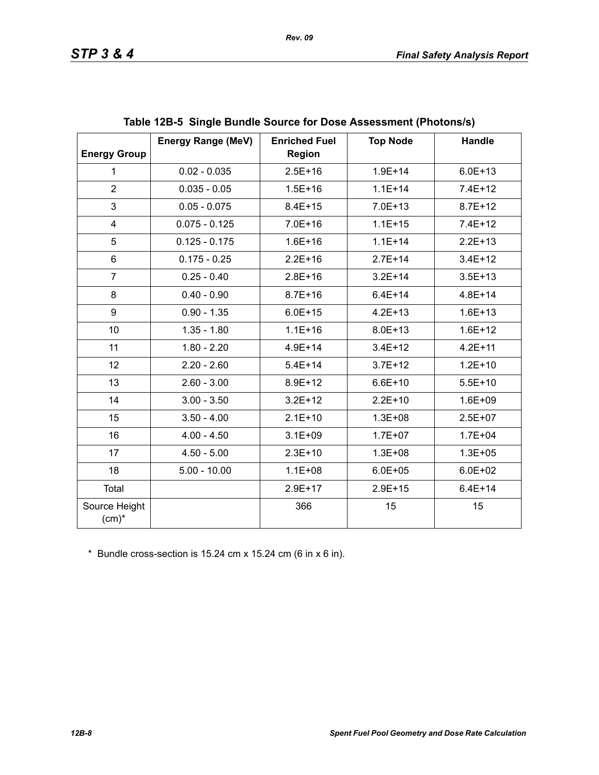| <b>Energy Group</b>       | <b>Energy Range (MeV)</b> | <b>Enriched Fuel</b><br><b>Region</b> | <b>Top Node</b> | Handle      |
|---------------------------|---------------------------|---------------------------------------|-----------------|-------------|
| $\mathbf{1}$              | $0.02 - 0.035$            | $2.5E + 16$                           | $1.9E + 14$     | $6.0E + 13$ |
| $\overline{2}$            | $0.035 - 0.05$            | $1.5E + 16$                           | $1.1E + 14$     | $7.4E+12$   |
| 3                         | $0.05 - 0.075$            | $8.4E + 15$                           | $7.0E + 13$     | $8.7E + 12$ |
| 4                         | $0.075 - 0.125$           | $7.0E + 16$                           | $1.1E + 15$     | $7.4E+12$   |
| 5                         | $0.125 - 0.175$           | $1.6E + 16$                           | $1.1E + 14$     | $2.2E+13$   |
| 6                         | $0.175 - 0.25$            | $2.2E + 16$                           | $2.7E + 14$     | $3.4E + 12$ |
| $\overline{7}$            | $0.25 - 0.40$             | $2.8E + 16$                           | $3.2E + 14$     | $3.5E + 13$ |
| 8                         | $0.40 - 0.90$             | $8.7E + 16$                           | $6.4E + 14$     | $4.8E + 14$ |
| 9                         | $0.90 - 1.35$             | $6.0E + 15$                           | $4.2E + 13$     | $1.6E + 13$ |
| 10                        | $1.35 - 1.80$             | $1.1E + 16$                           | $8.0E + 13$     | $1.6E + 12$ |
| 11                        | $1.80 - 2.20$             | $4.9E + 14$                           | $3.4E + 12$     | $4.2E + 11$ |
| 12                        | $2.20 - 2.60$             | $5.4E + 14$                           | $3.7E + 12$     | $1.2E + 10$ |
| 13                        | $2.60 - 3.00$             | 8.9E+12                               | $6.6E + 10$     | $5.5E+10$   |
| 14                        | $3.00 - 3.50$             | $3.2E + 12$                           | $2.2E+10$       | $1.6E + 09$ |
| 15                        | $3.50 - 4.00$             | $2.1E+10$                             | $1.3E + 08$     | $2.5E+07$   |
| 16                        | $4.00 - 4.50$             | $3.1E + 09$                           | $1.7E + 07$     | $1.7E + 04$ |
| 17                        | $4.50 - 5.00$             | $2.3E+10$                             | $1.3E + 08$     | $1.3E + 05$ |
| 18                        | $5.00 - 10.00$            | $1.1E + 08$                           | $6.0E + 05$     | $6.0E + 02$ |
| Total                     |                           | $2.9E+17$                             | $2.9E + 15$     | $6.4E + 14$ |
| Source Height<br>$(cm)^*$ |                           | 366                                   | 15              | 15          |

\* Bundle cross-section is 15.24 cm x 15.24 cm (6 in x 6 in).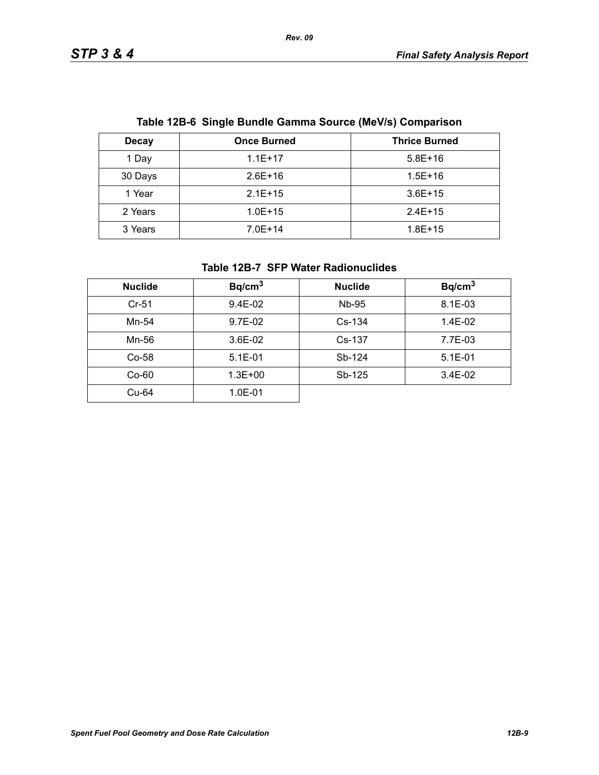| Table TZD-0 Single Bundle Gamma Source (MeV/S) Companson |                    |                      |  |
|----------------------------------------------------------|--------------------|----------------------|--|
| <b>Decay</b>                                             | <b>Once Burned</b> | <b>Thrice Burned</b> |  |
| 1 Day                                                    | $1.1E+17$          | $5.8E+16$            |  |
| 30 Days                                                  | $2.6E+16$          | $1.5E + 16$          |  |
| 1 Year                                                   | $2.1E+15$          | $3.6E + 15$          |  |
| 2 Years                                                  | $1.0E + 15$        | $2.4E+15$            |  |
| 3 Years                                                  | $7.0E+14$          | $1.8E + 15$          |  |

# **Table 12B-6 Single Bundle Gamma Source (MeV/s) Comparison**

#### **Table 12B-7 SFP Water Radionuclides**

| <b>Nuclide</b> | Bq/cm <sup>3</sup> | <b>Nuclide</b> | Bq/cm <sup>3</sup> |
|----------------|--------------------|----------------|--------------------|
| $Cr-51$        | 9.4E-02            | Nb-95          | 8.1E-03            |
| Mn-54          | 9.7E-02            | $Cs-134$       | 1.4E-02            |
| Mn-56          | 3.6E-02            | Cs-137         | 7.7E-03            |
| $Co-58$        | $5.1E-01$          | Sb-124         | $5.1E - 01$        |
| $Co-60$        | $1.3E + 00$        | Sb-125         | $3.4E-02$          |
| Cu-64          | $1.0E - 01$        |                |                    |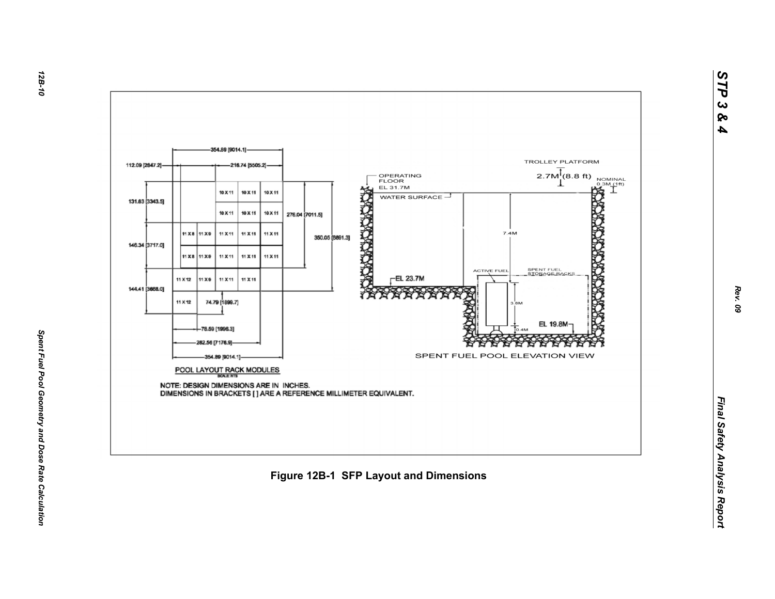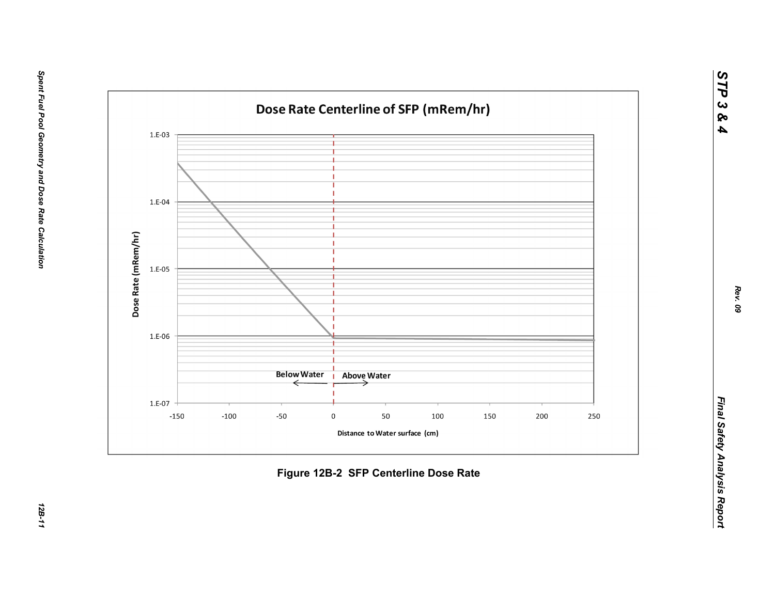